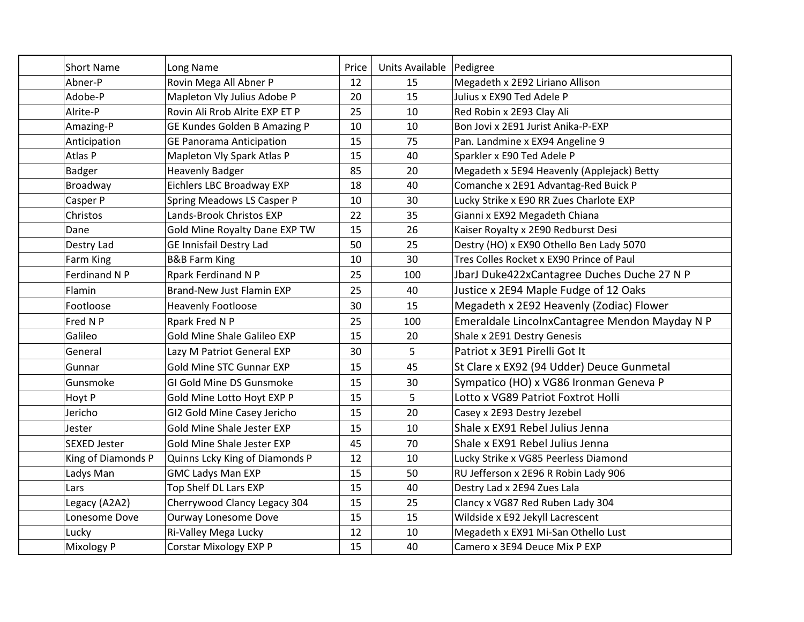| <b>Short Name</b>    | Long Name                       | Price | Units Available   Pedigree |                                                |
|----------------------|---------------------------------|-------|----------------------------|------------------------------------------------|
| Abner-P              | Rovin Mega All Abner P          | 12    | 15                         | Megadeth x 2E92 Liriano Allison                |
| Adobe-P              | Mapleton Vly Julius Adobe P     | 20    | 15                         | Julius x EX90 Ted Adele P                      |
| Alrite-P             | Rovin Ali Rrob Alrite EXP ET P  | 25    | 10                         | Red Robin x 2E93 Clay Ali                      |
| Amazing-P            | GE Kundes Golden B Amazing P    | 10    | 10                         | Bon Jovi x 2E91 Jurist Anika-P-EXP             |
| Anticipation         | <b>GE Panorama Anticipation</b> | 15    | 75                         | Pan. Landmine x EX94 Angeline 9                |
| Atlas P              | Mapleton Vly Spark Atlas P      | 15    | 40                         | Sparkler x E90 Ted Adele P                     |
| <b>Badger</b>        | <b>Heavenly Badger</b>          | 85    | 20                         | Megadeth x 5E94 Heavenly (Applejack) Betty     |
| Broadway             | Eichlers LBC Broadway EXP       | 18    | 40                         | Comanche x 2E91 Advantag-Red Buick P           |
| Casper P             | Spring Meadows LS Casper P      | 10    | 30                         | Lucky Strike x E90 RR Zues Charlote EXP        |
| Christos             | Lands-Brook Christos EXP        | 22    | 35                         | Gianni x EX92 Megadeth Chiana                  |
| Dane                 | Gold Mine Royalty Dane EXP TW   | 15    | 26                         | Kaiser Royalty x 2E90 Redburst Desi            |
| Destry Lad           | GE Innisfail Destry Lad         | 50    | 25                         | Destry (HO) x EX90 Othello Ben Lady 5070       |
| Farm King            | <b>B&amp;B Farm King</b>        | 10    | 30                         | Tres Colles Rocket x EX90 Prince of Paul       |
| <b>Ferdinand N P</b> | <b>Rpark Ferdinand N P</b>      | 25    | 100                        | JbarJ Duke422xCantagree Duches Duche 27 N P    |
| Flamin               | Brand-New Just Flamin EXP       | 25    | 40                         | Justice x 2E94 Maple Fudge of 12 Oaks          |
| Footloose            | <b>Heavenly Footloose</b>       | 30    | 15                         | Megadeth x 2E92 Heavenly (Zodiac) Flower       |
| Fred N P             | Rpark Fred N P                  | 25    | 100                        | Emeraldale LincolnxCantagree Mendon Mayday N P |
| Galileo              | Gold Mine Shale Galileo EXP     | 15    | 20                         | Shale x 2E91 Destry Genesis                    |
| General              | Lazy M Patriot General EXP      | 30    | 5                          | Patriot x 3E91 Pirelli Got It                  |
| Gunnar               | Gold Mine STC Gunnar EXP        | 15    | 45                         | St Clare x EX92 (94 Udder) Deuce Gunmetal      |
| Gunsmoke             | GI Gold Mine DS Gunsmoke        | 15    | 30                         | Sympatico (HO) x VG86 Ironman Geneva P         |
| Hoyt P               | Gold Mine Lotto Hoyt EXP P      | 15    | 5                          | Lotto x VG89 Patriot Foxtrot Holli             |
| Jericho              | GI2 Gold Mine Casey Jericho     | 15    | 20                         | Casey x 2E93 Destry Jezebel                    |
| Jester               | Gold Mine Shale Jester EXP      | 15    | 10                         | Shale x EX91 Rebel Julius Jenna                |
| SEXED Jester         | Gold Mine Shale Jester EXP      | 45    | 70                         | Shale x EX91 Rebel Julius Jenna                |
| King of Diamonds P   | Quinns Lcky King of Diamonds P  | 12    | 10                         | Lucky Strike x VG85 Peerless Diamond           |
| Ladys Man            | <b>GMC Ladys Man EXP</b>        | 15    | 50                         | RU Jefferson x 2E96 R Robin Lady 906           |
| Lars                 | Top Shelf DL Lars EXP           | 15    | 40                         | Destry Lad x 2E94 Zues Lala                    |
| Legacy (A2A2)        | Cherrywood Clancy Legacy 304    | 15    | 25                         | Clancy x VG87 Red Ruben Lady 304               |
| Lonesome Dove        | Ourway Lonesome Dove            | 15    | 15                         | Wildside x E92 Jekyll Lacrescent               |
| Lucky                | Ri-Valley Mega Lucky            | 12    | 10                         | Megadeth x EX91 Mi-San Othello Lust            |
| <b>Mixology P</b>    | <b>Corstar Mixology EXP P</b>   | 15    | 40                         | Camero x 3E94 Deuce Mix P EXP                  |